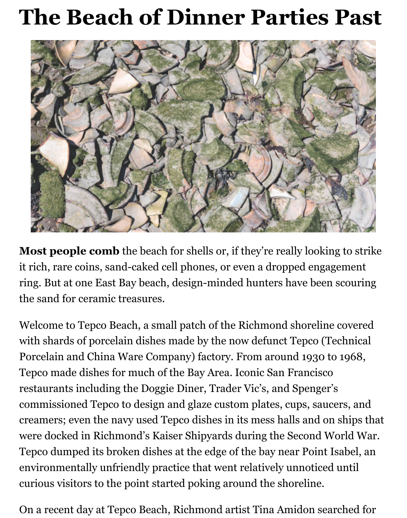## **The Beach of Dinner Parties Past**



**Most people comb** the beach for shells or, if they're really looking to strike it rich, rare coins, sand-caked cell phones, or even a dropped engagement ring. But at one East Bay beach, design-minded hunters have been scouring the sand for ceramic treasures.

Welcome to Tepco Beach, a small patch of the Richmond shoreline covered with shards of porcelain dishes made by the now defunct Tepco (Technical Porcelain and China Ware Company) factory. From around 1930 to 1968, Tepco made dishes for much of the Bay Area. Iconic San Francisco restaurants including the Doggie Diner, Trader Vic's, and Spenger's commissioned Tepco to design and glaze custom plates, cups, saucers, and creamers; even the navy used Tepco dishes in its mess halls and on ships that were docked in Richmond's Kaiser Shipyards during the Second World War. Tepco dumped its broken dishes at the edge of the bay near Point Isabel, an environmentally unfriendly practice that went relatively unnoticed until curious visitors to the point started poking around the shoreline.

On a recent day at Tepco Beach, Richmond artist Tina Amidon searched for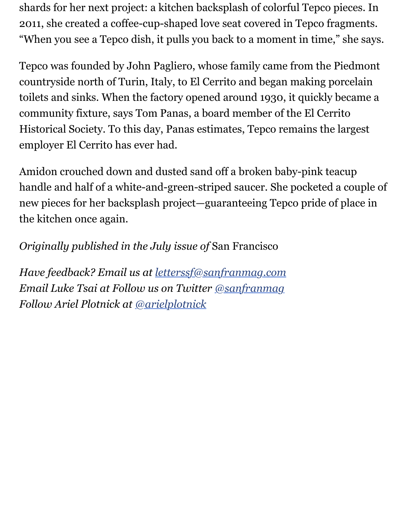shards for her next project: a kitchen backsplash of colorful Tepco pieces. In 2011, she created a coffee-cup-shaped love seat covered in Tepco fragments. "When you see a Tepco dish, it pulls you back to a moment in time," she says.

Tepco was founded by John Pagliero, whose family came from the Piedmont countryside north of Turin, Italy, to El Cerrito and began making porcelain toilets and sinks. When the factory opened around 1930, it quickly became a community fixture, says Tom Panas, a board member of the El Cerrito Historical Society. To this day, Panas estimates, Tepco remains the largest employer El Cerrito has ever had.

Amidon crouched down and dusted sand off a broken baby-pink teacup handle and half of a white-and-green-striped saucer. She pocketed a couple of new pieces for her backsplash project—guaranteeing Tepco pride of place in the kitchen once again.

*Originally published in the July issue of* San Francisco

*Have feedback? Email us at [letterssf@sanfranmag.com](mailto:letterssf@sanfranmag.com) Email Luke Tsai at Follow us on Twitter [@sanfranmag](http://twitter.com/sanfranmag) Follow Ariel Plotnick at [@arielplotnick](https://twitter.com/theluketsai)*